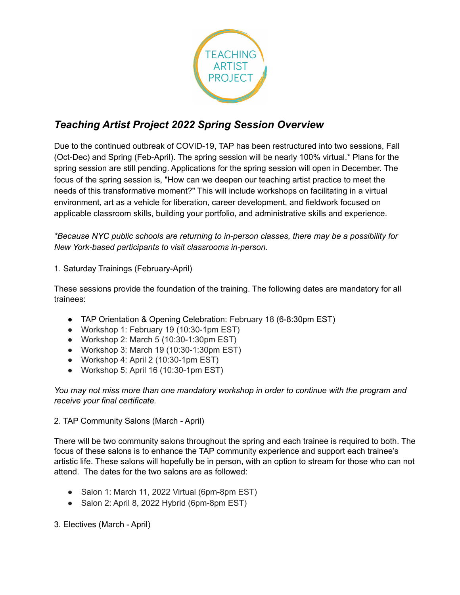

# *Teaching Artist Project 2022 Spring Session Overview*

Due to the continued outbreak of COVID-19, TAP has been restructured into two sessions, Fall (Oct-Dec) and Spring (Feb-April). The spring session will be nearly 100% virtual.\* Plans for the spring session are still pending. Applications for the spring session will open in December. The focus of the spring session is, "How can we deepen our teaching artist practice to meet the needs of this transformative moment?" This will include workshops on facilitating in a virtual environment, art as a vehicle for liberation, career development, and fieldwork focused on applicable classroom skills, building your portfolio, and administrative skills and experience.

*\*Because NYC public schools are returning to in-person classes, there may be a possibility for New York-based participants to visit classrooms in-person.*

1. Saturday Trainings (February-April)

These sessions provide the foundation of the training. The following dates are mandatory for all trainees:

- TAP Orientation & Opening Celebration: February 18 (6-8:30pm EST)
- Workshop 1: February 19 (10:30-1pm EST)
- Workshop 2: March 5  $(10:30-1:30 \text{pm EST})$
- Workshop 3: March 19 (10:30-1:30pm EST)
- Workshop 4: April 2 (10:30-1pm EST)
- Workshop 5: April 16 (10:30-1pm EST)

*You may not miss more than one mandatory workshop in order to continue with the program and receive your final certificate.*

2. TAP Community Salons (March - April)

There will be two community salons throughout the spring and each trainee is required to both. The focus of these salons is to enhance the TAP community experience and support each trainee's artistic life. These salons will hopefully be in person, with an option to stream for those who can not attend. The dates for the two salons are as followed:

- Salon 1: March 11, 2022 Virtual (6pm-8pm EST)
- Salon 2: April 8, 2022 Hybrid (6pm-8pm EST)

3. Electives (March - April)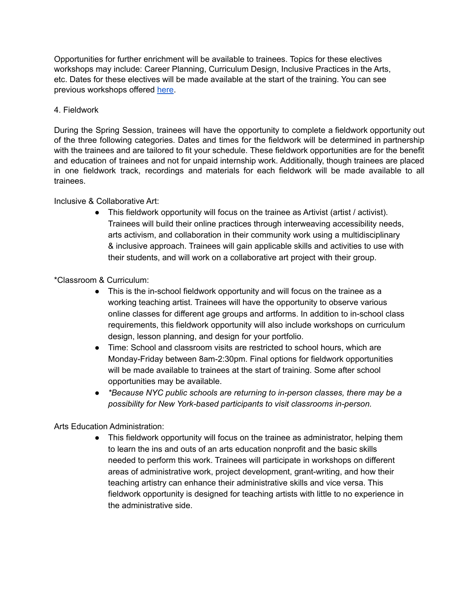Opportunities for further enrichment will be available to trainees. Topics for these electives workshops may include: Career Planning, Curriculum Design, Inclusive Practices in the Arts, etc. Dates for these electives will be made available at the start of the training. You can see previous workshops offered [here](https://www.teachingartistproject.org/tap-cohort-workshops).

## 4. Fieldwork

During the Spring Session, trainees will have the opportunity to complete a fieldwork opportunity out of the three following categories. Dates and times for the fieldwork will be determined in partnership with the trainees and are tailored to fit your schedule. These fieldwork opportunities are for the benefit and education of trainees and not for unpaid internship work. Additionally, though trainees are placed in one fieldwork track, recordings and materials for each fieldwork will be made available to all trainees.

### Inclusive & Collaborative Art:

● This fieldwork opportunity will focus on the trainee as Artivist (artist / activist). Trainees will build their online practices through interweaving accessibility needs, arts activism, and collaboration in their community work using a multidisciplinary & inclusive approach. Trainees will gain applicable skills and activities to use with their students, and will work on a collaborative art project with their group.

# \*Classroom & Curriculum:

- This is the in-school fieldwork opportunity and will focus on the trainee as a working teaching artist. Trainees will have the opportunity to observe various online classes for different age groups and artforms. In addition to in-school class requirements, this fieldwork opportunity will also include workshops on curriculum design, lesson planning, and design for your portfolio.
- Time: School and classroom visits are restricted to school hours, which are Monday-Friday between 8am-2:30pm. Final options for fieldwork opportunities will be made available to trainees at the start of training. Some after school opportunities may be available.
- *● \*Because NYC public schools are returning to in-person classes, there may be a possibility for New York-based participants to visit classrooms in-person.*

# Arts Education Administration:

● This fieldwork opportunity will focus on the trainee as administrator, helping them to learn the ins and outs of an arts education nonprofit and the basic skills needed to perform this work. Trainees will participate in workshops on different areas of administrative work, project development, grant-writing, and how their teaching artistry can enhance their administrative skills and vice versa. This fieldwork opportunity is designed for teaching artists with little to no experience in the administrative side.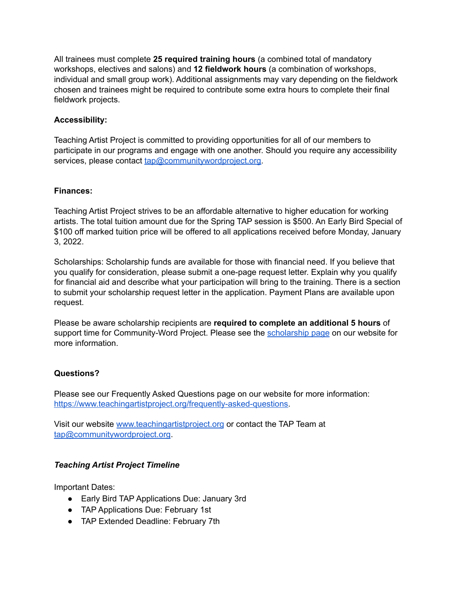All trainees must complete **25 required training hours** (a combined total of mandatory workshops, electives and salons) and **12 fieldwork hours** (a combination of workshops, individual and small group work). Additional assignments may vary depending on the fieldwork chosen and trainees might be required to contribute some extra hours to complete their final fieldwork projects.

## **Accessibility:**

Teaching Artist Project is committed to providing opportunities for all of our members to participate in our programs and engage with one another. Should you require any accessibility services, please contact [tap@communitywordproject.org.](mailto:tap@communitywordproject.org)

#### **Finances:**

Teaching Artist Project strives to be an affordable alternative to higher education for working artists. The total tuition amount due for the Spring TAP session is \$500. An Early Bird Special of \$100 off marked tuition price will be offered to all applications received before Monday, January 3, 2022.

Scholarships: Scholarship funds are available for those with financial need. If you believe that you qualify for consideration, please submit a one-page request letter. Explain why you qualify for financial aid and describe what your participation will bring to the training. There is a section to submit your scholarship request letter in the application. Payment Plans are available upon request.

Please be aware scholarship recipients are **required to complete an additional 5 hours** of support time for Community-Word Project. Please see the [scholarship](https://www.teachingartistproject.org/scholarships) page on our website for more information.

#### **Questions?**

Please see our Frequently Asked Questions page on our website for more information: [https://www.teachingartistproject.org/frequently-asked-questions.](https://www.teachingartistproject.org/frequently-asked-questions)

Visit our website [www.teachingartistproject.org](http://www.teachingartistproject.org) or contact the TAP Team at [tap@communitywordproject.org](mailto:tap@communitywordproject.org).

# *Teaching Artist Project Timeline*

Important Dates:

- Early Bird TAP Applications Due: January 3rd
- TAP Applications Due: February 1st
- TAP Extended Deadline: February 7th